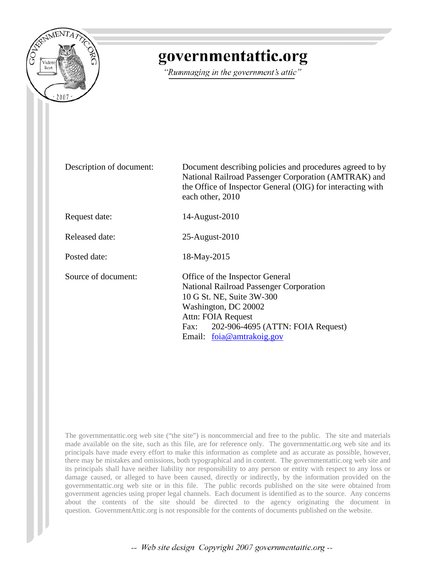

# governmentattic.org

"Rummaging in the government's attic"

Description of document: Document describing policies and procedures agreed to by National Railroad Passenger Corporation (AMTRAK) and the Office of Inspector General (OIG) for interacting with each other, 2010 Request date: 14-August-2010 Released date: 25-August-2010 Posted date: 18-May-2015 Source of document: Office of the Inspector General National Railroad Passenger Corporation 10 G St. NE, Suite 3W-300 Washington, DC 20002 Attn: FOIA Request Fax: 202-906-4695 (ATTN: FOIA Request) Email: [foia@amtrakoig.gov](mailto:foia@amtrakoig.gov?subject=FOIA%20Request)

The governmentattic.org web site ("the site") is noncommercial and free to the public. The site and materials made available on the site, such as this file, are for reference only. The governmentattic.org web site and its principals have made every effort to make this information as complete and as accurate as possible, however, there may be mistakes and omissions, both typographical and in content. The governmentattic.org web site and its principals shall have neither liability nor responsibility to any person or entity with respect to any loss or damage caused, or alleged to have been caused, directly or indirectly, by the information provided on the governmentattic.org web site or in this file. The public records published on the site were obtained from government agencies using proper legal channels. Each document is identified as to the source. Any concerns about the contents of the site should be directed to the agency originating the document in question. GovernmentAttic.org is not responsible for the contents of documents published on the website.

-- Web site design Copyright 2007 governmentattic.org --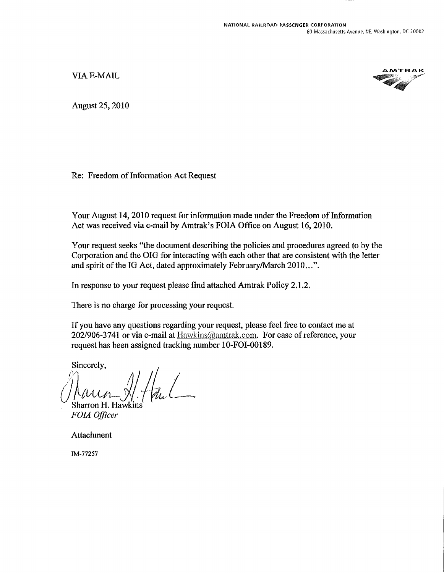VIA E-MAIL



August25, 2010

Re: Freedom of Information Act Request

Your August 14, 2010 request for information made under the Freedom of Information Act was received via e-mail by Amtrak's FOIA Office on August 16, 2010.

Your request seeks "the document describing the policies and procedures agreed to by the Corporation and the OIG for interacting with each other that are consistent with the letter and spirit of the IG Act, dated approximately February/March 2010...".

In response to your request please find attached Amtrak Policy 2.1.2.

There is no charge for processing your request.

If you have any questions regarding your request, please feel free to contact me at 202/906-3741 or via e-mail at Hawkins@amtrak.com. For ease of reference, your request has been assigned tracking number 10-FOI-00189.

Sincerely,

 $//num\_N.f$  and Sharron H. Hawkin

*FOIA Officer* 

Attachment

IM-77257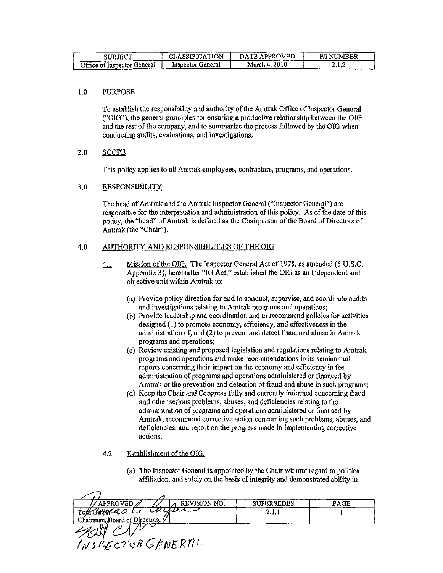| ___<br>SUBJECT              | <b>\SSIFICATION</b><br>۳ میلی | DATE APPROVED | JMBER<br>NI<br>___________ |
|-----------------------------|-------------------------------|---------------|----------------------------|
| Office of Inspector General | Inspector General             | 2010          | سمويات ومك                 |
| سيست                        |                               | March 4.      | *****************          |

## 1.0 PURPOSE

To establish the responsibility and authority of the Amtrak Office of Inspector General ("OIG"), the general principles for ensuring a productive relationship between the OIG and the rest of the company, and to summarize the process followed by the OIG when conducting audits, evaluations, and investigations.

## 2.0 SCOPE

This policy applies to all Amtrak employees, contractors, programs, and operations.

## 3.0 RESPONSIBILITY

The head of Amtrak and the Amtrak Inspector General ("Inspector General") are responsible for the interpretation and administration of this policy. As of the date of this policy, the "head" of Amtrak is defined as the Chairperson of the Board of Directors of Amtrak (the "Chair").

## 4.0 AUTHORITY AND RESPONSIBILITIES OF THE OIG

- 4.1 Mission of the OIG. The Inspector General Act of 1978, as amended (5 U.S.C. Appendix 3), hereinafter "IG Act," established the OIG as an independent and objective unit within Amtrak to:
	- (a) Provide policy direction for and to conduct, supervise, and coordinate audits and investigations relating to Amtrak programs and operations;
	- (b) Provide leadership and coordination and to recommend policies for activities designed  $(1)$  to promote economy, efficiency, and effectiveness in the administration of, and (2) to prevent and detect fraud and abuse in Amtrak programs and operations;
	- ( c) Review existing and proposed legislation and regulations relating to Amtrak programs and operations and make recommendations in its semiannual reports concerning their impact on the economy and efficiency in the administration of programs and operations administered or financed by Amtrak or the prevention and detection of fraud and abuse in such programs;
	- (d) Keep the Chair and Congress fully and currently informed concerning fraud and other serious problems, abuses, and deficiencies relating to the administration of programs and operations administered or fmanced by Amtrak, recommend corrective action concerning such problems, abuses, and deficiencies, and report on the progress made in implementing corrective actions.

#### 4.2 Establishment of the OIG.

(a) The Inspector General is appointed by the Chair without regard to political affiliation, and solely on the basis of integrity and demonstrated ability in

| <b>REVISION NO.</b><br>APPROVED | <b>SUPERSEDES</b> | PAGE |
|---------------------------------|-------------------|------|
| tayar<br>Tota Carpent as U      |                   |      |
| Chairman, Board of Directors    |                   |      |
|                                 |                   |      |
| INSPECTORGENERAL                |                   |      |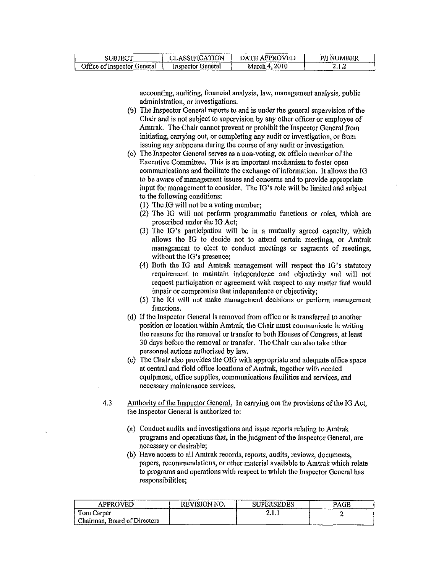| <b>TELAM</b><br>⊸∪BJ™                       | <b>TION</b><br>H A<br>----         | ---<br>WED<br><b>APPRI</b><br>æ<br>_______ | ⁄ mer<br>- 63 E<br>ו היו |
|---------------------------------------------|------------------------------------|--------------------------------------------|--------------------------|
| Office of<br>. .<br>benerai<br>∵Insnector l | Feneral<br>Insuector<br>__________ | 2010<br>March<br>-41<br>__________________ | .<br>___________         |

accounting, auditing, financial analysis, law, management analysis, public administration, or investigations.

- (b) The Inspector General reports to and is under the general supervision of the Chair and is not subject to supervision by any other officer or employee of Amtrak. The Chair cannot prevent or prohibit the Inspector General from initiating, carrying out, or completing any audit or investigation, or from issuing any subpoena during the course of any audit or investigation.
- ( c) The Inspector General serves as a non-voting, ex officio member of the Executive Committee. This is an important mechanism to foster open communications and facilitate the exchange of information. It allows the IG to be aware of management issues and concerns and to provide appropriate input for management to consider. The IG's role will be limited and subject to the following conditions:
	- (!) The IG will not be a voting member;
	- (2) The JG will not perform programmatic functions or roles, which are proscribed under the IO Act;
	- (3) The IG's participation will be in a mutually agreed capacity, which allows the IG to decide not to attend certain meetings, or Amtrak management to elect to conduct meetings or segments of meetings, without the IG's presence:
	- (4) Both the IG and Amtrak management will respect the !G's statutory requirement to maintain independence and objectivity and will not request participation or agreement with respect to any matter that would impair or compromise that independence or objectivity;
	- (5) The IG will not make management decisions or perform management functions.
- ( d) If the Inspector General is removed from office or is transferred to another position or location within Amtrak, the Chair must communicate in writing the reasons for the removal or transfer to both Houses of Congress, at least 30 days before the removal or transfer. The Chair can also take other personnel actions authorized by law.
- (e) The Chair also provides the OIG with appropriate and adequate office space at central and field office locations of Amtrak, together with needed equipment, office supplies, communications facilities and services, and necessary maintenance services.
- 4.3 Authority of the Inspector General. In carrying out the provisions of the IO Act, the Inspector General is authorized to:
	- (a) Conduct audits and investigations and issue reports relating to Amtrak programs and operations that, in the judgment of the Inspector General, are necessary or desirable;
	- (b) Have access to all Amtrak records, reports, audits, reviews, documents, papers, recommendations, or other material available to Amtrak which relate to programs and operations with respect to which the Inspector General has responsibilities;

| <b>APPROVED</b>              | ___________________<br>REVISION NO. | _________<br><b>SUPERSEDES</b> | PAGE |
|------------------------------|-------------------------------------|--------------------------------|------|
| l'om Carper                  |                                     | .                              |      |
| Chairman, Board of Directors |                                     |                                |      |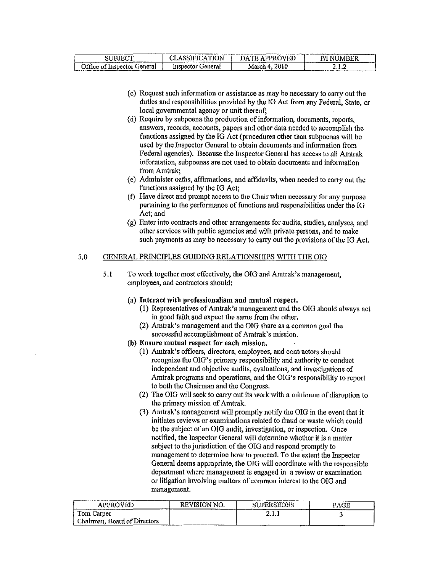| ------<br>ידורי רו<br>3UBJE!                                                                                                              | TOP 1<br>ו גיוו<br>- 14<br>--------- | <b>PPROVEL</b><br>JA.<br>8 P | -----<br>' NUMBER  |
|-------------------------------------------------------------------------------------------------------------------------------------------|--------------------------------------|------------------------------|--------------------|
| - -<br>General<br>v of Insbector C<br>JIIIce.<br>home cars in an excess of the send of the component components of accompanying an excess | mspector<br>seneral                  | 2010<br>March                | - 23<br>. <i>.</i> |

- ( c) Request such information or assistance as may be necessary to carry out the duties and responsibilities provided by the IG Act from any Federal, State, or local governmental agency or unit thereof;
- ( d) Require by subpoena the production of information, documents, reports, answers, records, accounts, papers and other data needed to accomplish the functions assigned by the IG Act (procedures other than subpoenas will be used by the Inspector General to obtain documents and information from Federal agencies). Because the Inspector General has access to all Amtrak information, subpoenas are not used to obtain documents and information from Amtrak;
- (e) Administer oaths, affirmations, and affidavits, when needed to carry out the functions assigned by the JG Act;
- (f) Have direct and prompt access to the Chair when necessary for any purpose pertaining to the performance of functions and responsibilities under the IG Act; and
- (g) Enter into contracts and other arrangements for audits, studies, analyses, and other services with public agencies and with private persons, and to make such payments as may be necessary to carry out the provisions of the JG Act.

# 5.0 GENERAL PRINCIPLES GUIDING RELATIONSHIPS WITH THE OIG

- 5.1 To work together most effectively, the OIG and Amtrak's management, employees, and contractors should:
	- (a) Interact with professionalism and mutual respect.
		- (I) Representatives of Amtrak's management and the OIG should always act in good faith and expect the same from the other.
		- (2) Amtrak's management and the OIG share as a common goal the successful accomplishment of Amtrak's mission.
	- (b) Ensure mutual respect for each mission.
		- (I) Amtrak's officers, directors, employees, and contractors should recognize the OIG's primary responsibility and authority to conduct independent and objective audits, evaluations, and investigations of Amtrak programs and operations, and the OIG's responsibility to report to both the Chairman and the Congress.
		- (2) The OIG will seek to carry out its work with a minimum of disruption to the primary mission of Amtrak.
		- (3) Amtrak's management will promptly notify the OIG in the event that it initiates reviews or examinations related to fraud or waste which could be the subject of an OIG audit, investigation, or inspection. Once notified, the Inspector General will determine whether it is a matter subject to the jurisdiction of the OIG and respond promptly to management to determine how to proceed. To the extent the Inspector General deems appropriate, the OIG will coordinate with the responsible department where management is engaged in a review or examination or litigation involving matters of common interest to the OIG and management.

| APPROVED<br>-------          | <b>REVISION NO.</b><br>------- | <b>SUPERSEDES</b><br>------- | PAGE |
|------------------------------|--------------------------------|------------------------------|------|
| Tom Carper                   |                                | A.L.                         |      |
| Chairman, Board of Directors |                                | ---------                    |      |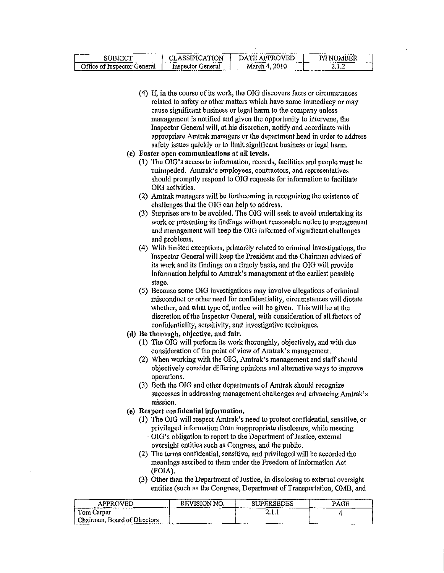| <b>SUBJECT</b>              | <b>CLASSIFICATION</b> | DATE APPROVED | <b>P/I NUMBER</b> |
|-----------------------------|-----------------------|---------------|-------------------|
| Office of Inspector General | Inspector General     | March 4, 2010 | 2. L.Z            |

- (4) If, in the course of its work, the OIG discovers facts or circumstances related to safety or other matters which have some immediacy or may cause significant business or legal harm to the company unless management is notified and given the opportunity to intervene, the Inspector General will, at his discretion, notify and coordinate with appropriate Amtrak managers or the department head in order to address safety issues quickly or to limit significant business or legal harm.
- (c) Foster open communications at all levels.
	- (1) The OIG's access to information, records, facilities and people must be unimpeded. Amtrak's employees, contractors, and representatives should promptly respond to OIG requests for information to facilitate OIG activities.
	- (2) Amtrak managers will be forthcoming in recognizing the existence of challenges that the OIG can help to address.
	- (3) Surprises are to be avoided. The OIG will seek to avoid undertaking its work or presenting its findings without reasonable notice to management and management will keep the OIG informed of significant challenges and problems.
	- (4) With limited exceptions, primarily related to criminal investigations, the Inspector General will keep the President and the Chairman advised of its work and its findings on a timely basis, and the OIG will provide information helpful to Amtrak's management at the earliest possible stage.
	- (5) Because some OIG investigations may involve allegations of criminal misconduct or other need for confidentiality, circumstances will dictate whether, and what type of, notice will be given. This will be at the discretion of the Inspector General, with consideration of all factors of confidentiality, sensitivity, and investigative techniques.
- (d) Be thorough, objective, and fair.
	- (1) The OIG will perform its work thoroughly, objectively, and with due consideration of the point of view of Amtrak's management.
	- (2) When working with the OIG, Amtrak's management and staff should objectively consider differing opinions and alternative ways to improve operations.
	- (3) Both the OIG and other departments of Amtrak should recognize successes in addressing management challenges and advancing Amtrak's **mission.**
- ( e) Respect confidential information.
	- (!) The OIG will respect Amtrak's need to protect confidential, sensitive, or privileged information from inappropriate disclosure, while meeting OIG's obligation to report to the Department of Justice, external oversight entities such as Congress, and the public.
	- (2) The terms confidential, sensitive, and privileged will be accorded the meanings ascribed to them under the Freedom of Information Act (FOIA).
	- (3) Other than the Department of Justice, in disclosing to external oversight entities (such as the Congress, Department of Transportation, OMB, and

| APPROVED                     | REVISION NO. | <b>SUPERSEDES</b> | PAGE |
|------------------------------|--------------|-------------------|------|
| Tom Carper                   |              | A                 |      |
| Chairman, Board of Directors |              |                   |      |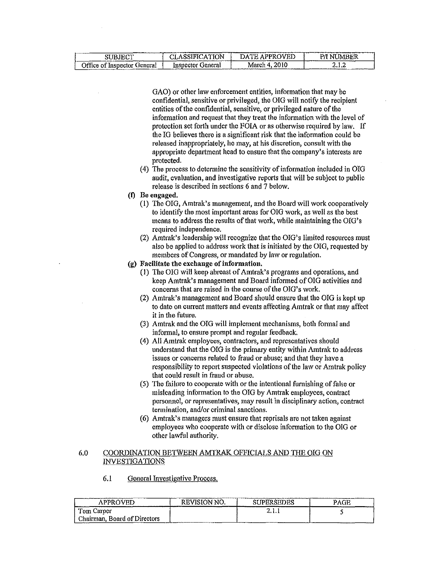| <b>SUBJECT</b>              | LASSIFICATION     | : APPROVED<br>DATE.<br>______ | 'JMBER<br>NI |
|-----------------------------|-------------------|-------------------------------|--------------|
| Office of Inspector General | Inspector General | March 4, 2010                 | .            |

GAO) or other law enforcement entities, information that may be confidential, sensitive or privileged, the OIG will notify the recipient entities of the confidential, sensitive, or privileged nature of the information and request that they treat the information with the level of protection set forth under the FOIA or as otherwise required by law. If the IG believes there is a significant risk that the information could be released inappropriately, he may, at his discretion, consult with the appropriate department head to ensure that the company's interests are protected.

- (4) The process to determine the sensitivity of information included in OIG audit, evaluation, and investigative reports that will be subject to public release is described in sections 6 and 7 below.
- (I) Be engaged.
	- (I) The OIG, Amtrak's management, and the Board will work cooperatively to identify the most important areas for OIG work, as well as the best means to address the results of that work, while maintaining the OIG's required independence.
	- (2) Amtrak's leadership will recognize that the OIG's limited resources must also be applied to address work that is initiated by the OIG, requested by members of Congress, or mandated by law or regulation.
- (g) Facilitate the exchange of information.
	- (!) The OIG will keep abreast of Amtrak's programs and operations, and keep Amtrak's management and Board informed of OIG activities and concerns that are raised in the course of the OIG's work.
	- (2) Amtrak's management and Board should ensure that the OIG is kept up to date on current matters and events affecting Amtrak or that may affect it in the future.
	- (3) Amtrak and the OIG will implement mechanisms, both fonnal and informal, to ensure prompt and regular feedback.
	- (4) All Amtrak employees, contractors, and representatives should understand that the OIG is the primary entity within Amtrak to address issues or concerns related to fraud or abuse; and that they have a responsibility to report suspected violations of the law or Amtrak policy that could result in fraud or abuse.
	- (5) The failure to cooperate with or the intentional furnishing of false or misleading information to the OIG by Amtrak employees, contract personnel, or representatives, may result in disciplinary action, contract termination, and/or criminal sanctions.
	- (6) Amtrak's managers must ensure that reprisals are not taken against employees who cooperate with or disclose information to the OIG or other lawful authority.

## 6.0 COORDINATION BETWEEN AMTRAK OFFICIALS AND THE OIG ON INVESTIGATIONS

6.1 General Investigative Process,

| <b>APPROVED</b>              | <b>The contract of the contract of the contract of the contract of the contract of the contract of the contract of the contract of the contract of the contract of the contract of the contract of the contract of the contract </b><br><b>REVISION NO.</b> | <b>SUPERSEDES</b> | ___________<br>___________<br>PAGE |
|------------------------------|-------------------------------------------------------------------------------------------------------------------------------------------------------------------------------------------------------------------------------------------------------------|-------------------|------------------------------------|
| Tom Carper                   |                                                                                                                                                                                                                                                             | 4.1.1             |                                    |
| Chairman, Board of Directors |                                                                                                                                                                                                                                                             |                   |                                    |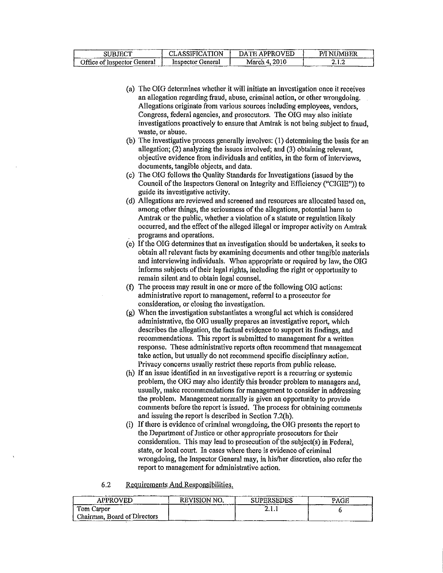| SUBJECT                     | CLASSIFICATION    | DATE APPROVED | P/I NUMBER<br>---- |
|-----------------------------|-------------------|---------------|--------------------|
| Office of Inspector General | Inspector General | March 4, 2010 | 2.1.2              |

- (a) The OIG detennines whether it will initiate an investigation once it receives an allegation regarding fraud, abuse, criminal action, or other wrongdoing. Allegations originate from various sources including employees, vendors, Congress, federal agencies, and prosecutors. The OIG may also initiate investigations proactively to ensure that Amtrak is not being subject to fraud, waste, or abuse.
- (b) The investigative process generally involves: (1) determining the basis for an allegation; (2) analyzing the issues involved; and (3) obtaining relevant, objective evidence from individuals and entities, in the fonn of interviews, documents, tangible objects, and data.
- (c) The OIG follows the Quality Standards for Investigations (issued by the Council of the Inspectors General on Integrity and Efficiency ("CIGIE")) to guide its investigative activity.
- (d) Allegations are reviewed and screened and resources are allocated based on, among other things, the seriousness of the allegations, potential harm to Amtrak or the public, whether a violation of a statute or regulation likely occurred, and the effect of the alleged illegal or improper activity on Amtrak programs and operations.
- (e) If the OIG detennines that an investigation should be undertaken, it seeks to obtain all relevant facts by examining documents and other tangible materials and interviewing individuals. When appropriate or required by law, the OIG informs subjects of their legal rights, including the right or opportunity to remain silent and to obtain legal counsel.
- (f) The process may result in one or more of the following OIG actions: administrative report to management, referral to a prosecutor for consideration, or closing the investigation.
- (g) When the investigation substantiates a wrongful act which is considered administrative, the OIG usually prepares an investigative report, which describes the allegation, the factual evidence to support its findings, and recommendations. This report is submitted to management for a written response. These administrative reports often recommend that management take action, but usually do not recommend specific disciplinary action. Privacy concerns usually restrict these reports from public release.
- (h) If an issue identified in an investigative report is a recurring or systemic problem, the OIG may also identify this broader problem to managers and, usually, make recommendations for management to consider in addressing the problem. Management normally is given an opportunity to provide comments before the report is issued. The process for obtaining comments and issuing the report is described in Section 7.2(h).
- (i) If there is evidence of criminal wrongdoing, the OIG presents the report to the Department of Justice or other appropriate prosecutors for their consideration. This may lead to prosecution of the subject(s) in Federal, state, or local court. In cases where there is evidence of criminal wrongdoing, the Inspector General may, in his/her discretion, also refer the report to management for administrative action.

## 6.2 Requirements And Responsibilities.

| <b>APPROVED</b>              | <b>REVISION NO.</b> | <b>SUPERSEDES</b> | PAGE |
|------------------------------|---------------------|-------------------|------|
| Tom Carper                   |                     | A.L.              |      |
| Chairman, Board of Directors |                     |                   |      |
|                              |                     |                   |      |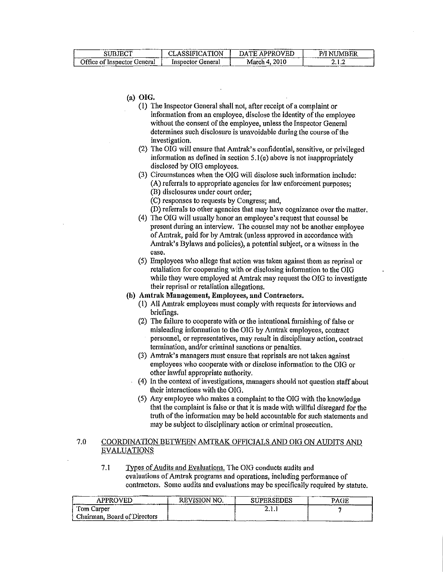| <b>SUBJECT</b>              | CLASSIFICATION    | DATE APPROVED | <b>P/I NUMBER</b> |
|-----------------------------|-------------------|---------------|-------------------|
| Office of Inspector General | Inspector General | March 4, 2010 | 4. L.Z            |

(a) **OIG.** 

- (1) The Inspector General shall not, after receipt ofa complaint or information from an employee, disclose the identity of the employee without the consent of the employee, unless the Inspector General determines such disclosure is unavoidable during the course of the investigation.
- (2) The OIG will ensure that Amtrak's confidential, sensitive, or privileged information as defined in section  $5.1(e)$  above is not inappropriately disclosed by OIG employees.
- (3) Circumstances when the OIG will disclose such infonnation include: (A) referrals to appropriate agencies for law enforcement purposes; (B) disclosures under court order;
	- (C) responses to requests by Congress; and,
	- (D) referrals to other agencies that may have cognizance over the matter.
- (4) The OIG will usually honor an employee's request that counsel be present during an interview. The counsel may not be another employee of Amtrak, paid for by Amtrak (unless approved in accordance with Amtrak's Bylaws and policies), a potential subject, or a witness in the case.
- (5) Employees who allege that action was taken against them as reprisal or retaliation for cooperating with or disclosing information to the OIG while they were employed at Amtrak may request the OIG to investigate their reprisal or retaliation allegations.
- **(b) Amtrak Management, Employees, and Contractors.** 
	- (1) All Amtrak employees must comply with requests for interviews and briefings.
	- (2) The failure to cooperate with or the intentional furnishing of false or misleading infonnation to the OIG by Amtrak employees, contract personnel, or representatives, may result in disciplinary action, contract termination, and/or criminal sanctions or penalties.
	- (3) Amtrak's managers must ensure that reprisals are not taken against employees who cooperate with or disclose infonnation to the OIG or other lawful appropriate authority.
	- ( 4) In the context of investigations, managers should not question staff about their interactions with the OIG.
	- (5) Any employee who makes a complaint to the O!G with the knowledge that the complaint is false or that it is made with willful disregard for the truth of the information may be held accountable for such statements and may be subject to disciplinary action or criminal prosecution.

# 7.0 COORDINATION BETWEEN AMTRAK OFFICIALS AND OIG ON AUDITS ANQ EVALUATIONS

7.1 Types of Audits and Evaluations. The OIG conducts audits and evaluations of Amtrak programs and operations, including performance of contractors. Some audits and evaluations may be specifically required by statute.

| APPROVED                     | <b>REVISION NO.</b> | <b>SUPERSEDES</b> | PAGE |
|------------------------------|---------------------|-------------------|------|
| Tom Carper                   |                     | <b>4.L.</b>       |      |
| Chairman, Board of Directors |                     | $\cdots$ $\cdots$ |      |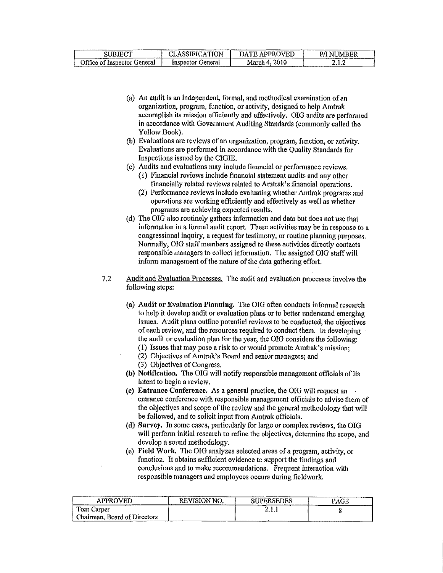| <b>SUBJECT</b>                                                           | <b>CLASSIFICATION</b> | DATE APPROVED | P/I NUMBER |
|--------------------------------------------------------------------------|-----------------------|---------------|------------|
| Office of Inspector General<br><b><i><u><u>Laurence Line</u></u></i></b> | Inspector General     | March 4, 2010 | 2.I.Z      |

- (a) An audit is an independent, formal, and methodical examination of an organization, program, function, or activity, designed to help Amtrak accomplish its mission efficiently and elTectively. OIG audits are performed in accordance with Govermnent Auditing Standards (commonly called the Yellow Book).
- (b) Evaluations are reviews of an organization, program, function, or activity. Evaluations are performed in accordance with the Quality Standards for Inspections issued by the CIGIE.
- ( c) Audits and evaluations may include financial or perfonnance reviews.
	- (I) Financial reviews include financial statement audits and any other financially related reviews related to Amtrak's financial operations.
	- (2) Performance reviews include evaluating whether Amtrak programs and operations are working efficiently and effectively as well as whether programs are achieving expected results.
- (d) The OIG also routinely gathers information and data but does not use that information in a formal audit report. These activities may be in response to a congressional inquiry, a request for testimony, or routine planning purposes. Normally, OIG staff members assigned to these activities directly contacts responsible managers to collect information. The assigned OIG staff will inform management of the nature of the data gathering effort.
- 7 .2 Audit and Evaluation Processes. The audit and evaluation processes involve the following steps:
	- (a) Audit or Evaluation Planning. The OIG often conducts informal research to help it develop audit or evaluation plans or to better understand emerging issues. Audit plans outline potential reviews to be conducted, the objectives of each review, and the resources required to conduct them. In developing the audit or evaluation plan for the year, the OIG considers the following:
		- (1) Issues that may pose a risk to or would promote Amtrak's mission;
		- (2) Objectives of Amtrak's Board and senior managers; and
		- (3) Objectives of Congress.
	- (b) Notification. The OIG will notify responsible management officials of its intent to begin a review.
	- (c) Entrance Conference. As a general practice, the OIG will request an entrance conference with responsible management officials to advise them of the objectives and scope of the review and the general methodology that will be followed, and to solicit input from Amtrak officials.
	- (d) Survey. In some cases, particularly for large or complex reviews, the OIG will perform initial research to refine the objectives, detennine the scope, and develop a sound methodology.
	- (e) Field Work. The OIG analyzes selected areas of a program, activity, or function. It obtains sufficient evidence to support the findings and conclusions and to make recommendations. Frequent interaction with responsible managers and employees occurs during fieldwork.

| <b>APPROVED</b>                       | <b>REVISION NO.</b><br><b><i><u>Parameter</u></i></b><br>___ | <b>SUPERSEDES</b>         | PAGE<br>. |
|---------------------------------------|--------------------------------------------------------------|---------------------------|-----------|
| Tom Carper                            |                                                              |                           |           |
| Chairman, Board of Directors<br>----- |                                                              | ____________<br>--------- |           |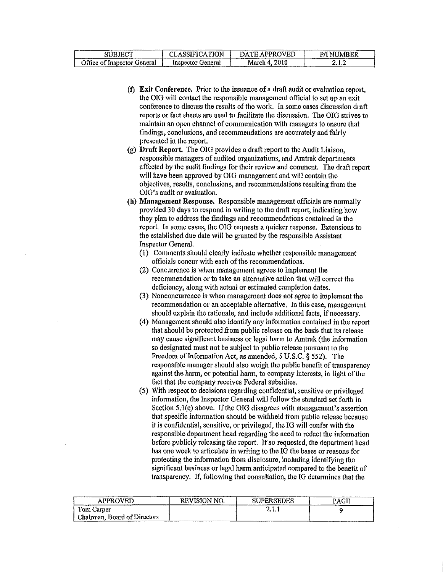| SUBJECT                     | <b>CLASSIFICATION</b> | FE APPROVED<br>DA I | <b>NUMBER</b> |
|-----------------------------|-----------------------|---------------------|---------------|
| Office of Inspector General | Inspector General     | March 4, 2010       | .             |

- $(f)$  Exit Conference. Prior to the issuance of a draft audit or evaluation report, the OIG will contact the responsible management official to set up an exit conference to discuss the results of the work. In some cases discussion draft reports or fact sheets are used to facilitate the discussion. The OIG strives to maintain an open channel of communication with managers to ensure that findings, conclusions, and recommendations are accurately and fairly presented in the report.
- (g) Draft Report. The OIG provides a draft report to the Audit Liaison, responsible managers of audited organizations, and Amtrak departments affected by the audit findings for their review and comment. The draft report will have been approved by OIG management and will contain the objectives, results, conclusions, and recommendations resulting from the OIG's audit or evaluation.
- (h) Management Response. Responsible management officials are normally provided 30 days to respond in writing to the draft report, indicating how they plan to address the findings and recommendations contained in the report. In some cases, the OIG requests a quicker response. Extensions to the established due date will be granted by the responsible Assistant Inspector General.
	- (1) Comments should clearly indicate whether responsible management officials concur with each of the recommendations.
	- (2) Concurrence is when management agrees to implement the recommendation or to take an alternative action that will correct the deficiency, along with actual or estimated completion dates.
	- (3) Nonconcurrence is when management does not agree to implement the recommendation or an acceptable alternative. In this case, management should explain the rationale, and include additional facts, if necessary.
	- ( 4) Management should also identify any information contained in the report that should be protected from public release on the basis that its release may cause significant business or legal harm to Amtrak (the information so designated must not be subject to public release pursuant to the Freedom of Information Act, as amended, S U.S.C. § 552). The responsible manager should also weigh the public benefit of transparency against the harm, or potential harm, to company interests, in light of the fact that the company receives Federal subsidies.
	- (5) With respect to decisions regarding confidential, sensitive or privileged information, the Inspector General will follow the standard set forth in Section 5.l(e) above. If the OIG disagrees with management's assertion that specific information should be withheld from public release because it is confidential, sensitive, or privileged, the IG will confer with the responsible department head regarding the need to redact the information before publicly releasing the report. If so requested, the department head has one week to articulate in writing to the IG the bases or reasons for protecting the information from disclosure, including identifying the significant business or legal harm anticipated compared to the benefit of transparency. If, following that consultation, the IG determines that the

| <b>APPROVED</b>              | <b>REVISION NO.</b> | <b>SUPERSEDES</b> | PAGE |
|------------------------------|---------------------|-------------------|------|
| Tom Carper                   |                     | .                 |      |
| Chairman, Board of Directors |                     |                   |      |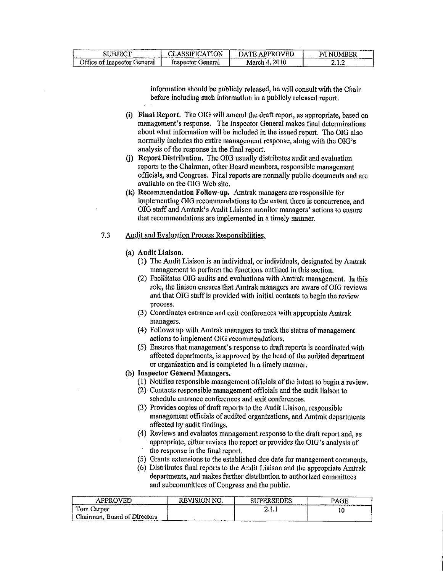| SUBJECT                     | CLASSIFICATION             | ----          | ------------ |
|-----------------------------|----------------------------|---------------|--------------|
|                             |                            | DATE APPROVED | NUMBER       |
| Office of Inspector General | Inspector General<br>----- | March 4, 2010 | 2. L.L       |

information should be publicly released, he will consult with the Chair before including such information in a publicly released report.

- (i) Final Report. The OIG will amend the draft report, as appropriate, based on management's response. The Inspector General makes final determinations about what information will be included in the issued report. The OIG also normally includes the entire management response, along with the OIG's analysis of the response in the final report.
- (j) Report Distribution. The OIG usually distributes audit and evaluation reports to the Chairman, other Board members, responsible management officials, and Congress. Final reports are normally public documents and are available on the OIG Web site.
- (k) Recommendation Follow-up. Amtrak managers are responsible for implementing OIG recommendations to the extent there is concurrence, and OIG staff and Amtrak's Audit Liaison monitor managers' actions to ensure that recommendations are implemented in a timely manner.

#### 7 .3 Audit and Evaluation Process Responsibilities,

- (a) Audit Liaison.
	- ( 1) The Audit Liaison is an individual, or individuals, designated by Amtrak management to perform the functions outlined in this section.
	- (2) Facilitates OIG audits and evaluations with Amtrak management. In this role, the liaison ensures that Amtrak managers are aware of OIG reviews and that OIG staff is provided with initial contacts to begin the review process.
	- (3) Coordinates entrance and exit conferences with appropriate Amtrak managers.
	- (4) Follows up with Amtrak managers to track the status of management actions to implement OIG recommendations,
	- (5) Ensures that management's response to draft reports is coordinated with affected departments, is approved by the head of the audited department or organization and is completed in a timely manner.
- (b) Inspector General Managers.
	- (I) Notifies responsible management officials of the intent to begin a review.
	- (2) Contacts responsible management officials and the audit liaison to schedule entrance conferences and exit conferences.
	- (3) Provides copies of draft reports to the Audit Liaison, responsible management officials of audited organizations, and Amtrak departments affected by audit findings.
	- ( 4) Reviews and evaluates management response to the draft report and, as appropriate, either revises the report or provides the OIG's analysis of the response in the final report.
	- (5) Grants extensions to the established due date for management comments.
	- (6) Distributes final reports to the Audit Liaison and the appropriate Amtrak departments, and makes further distribution to authorized committees and subcommittees of Congress and the public.

| APPROVED                     | <b>REVISION NO.</b> | <b>SUPERSEDES</b><br>-------- | PAGE |
|------------------------------|---------------------|-------------------------------|------|
| Tom Carper                   |                     | .                             | ιı   |
| Chairman, Board of Directors |                     |                               |      |